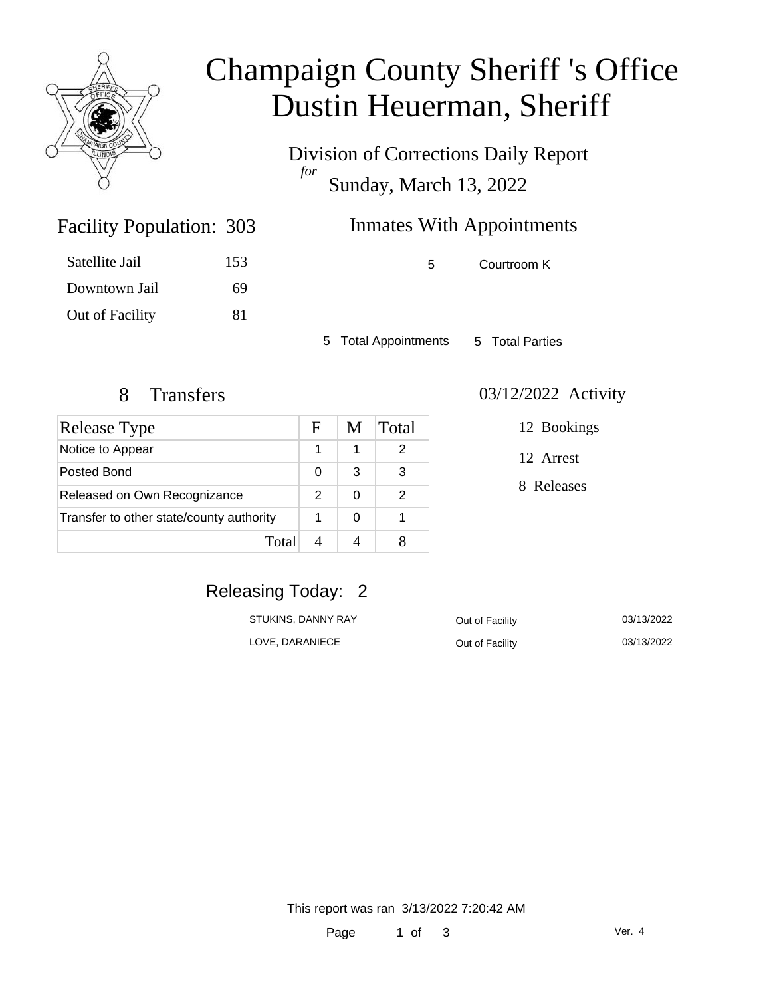

# Champaign County Sheriff 's Office Dustin Heuerman, Sheriff

Division of Corrections Daily Report *for* Sunday, March 13, 2022

# Inmates With Appointments

| Satellite Jail  | 153 |
|-----------------|-----|
| Downtown Jail   | 69  |
| Out of Facility | 81  |

Facility Population: 303

5 Courtroom K

5 Total Appointments 5 Total Parties

| <b>Release Type</b>                      | F             | M | Total |
|------------------------------------------|---------------|---|-------|
| Notice to Appear                         |               | 1 | 2     |
| Posted Bond                              | 0             | 3 | 3     |
| Released on Own Recognizance             | $\mathcal{P}$ | O | 2     |
| Transfer to other state/county authority |               | 0 |       |
| Total                                    |               |   |       |

#### 8 Transfers 03/12/2022 Activity

12 Bookings

12 Arrest

8 Releases

## Releasing Today: 2

| STUKINS, DANNY RAY | Out of Facility | 03/13/2022 |
|--------------------|-----------------|------------|
| LOVE, DARANIECE    | Out of Facility | 03/13/2022 |

This report was ran 3/13/2022 7:20:42 AM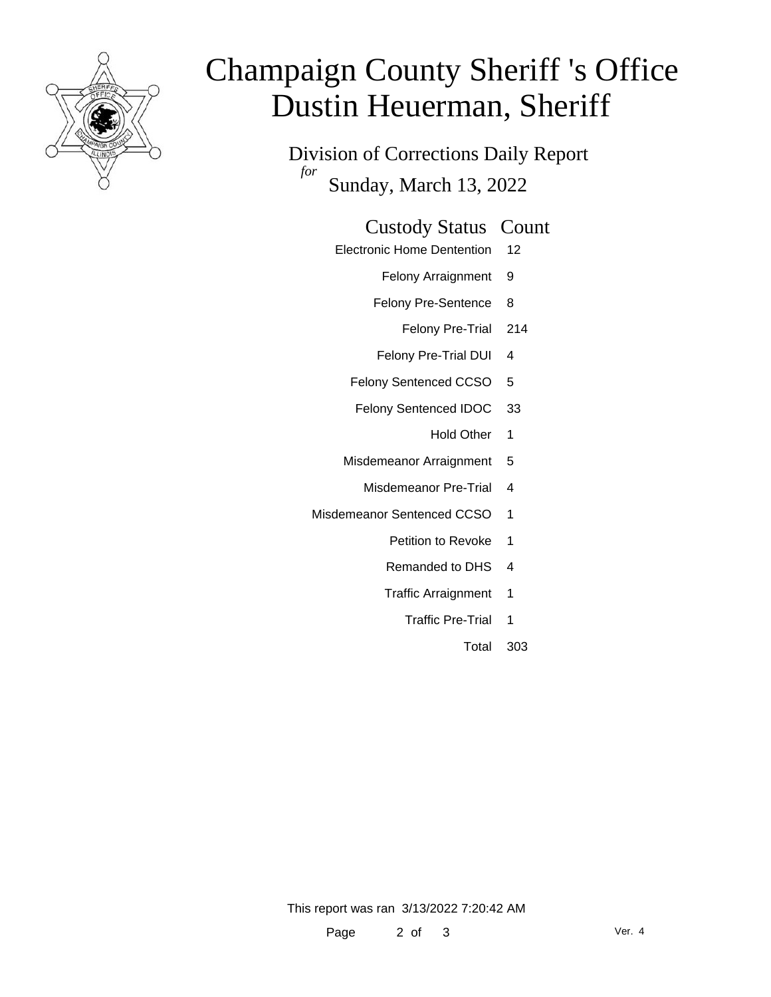

# Champaign County Sheriff 's Office Dustin Heuerman, Sheriff

Division of Corrections Daily Report *for* Sunday, March 13, 2022

#### Custody Status Count

- Electronic Home Dentention 12
	- Felony Arraignment 9
	- Felony Pre-Sentence 8
		- Felony Pre-Trial 214
	- Felony Pre-Trial DUI 4
	- Felony Sentenced CCSO 5
	- Felony Sentenced IDOC 33
		- Hold Other 1
	- Misdemeanor Arraignment 5
		- Misdemeanor Pre-Trial 4
- Misdemeanor Sentenced CCSO 1
	- Petition to Revoke 1
	- Remanded to DHS 4
	- Traffic Arraignment 1
		- Traffic Pre-Trial 1
			- Total 303

This report was ran 3/13/2022 7:20:42 AM